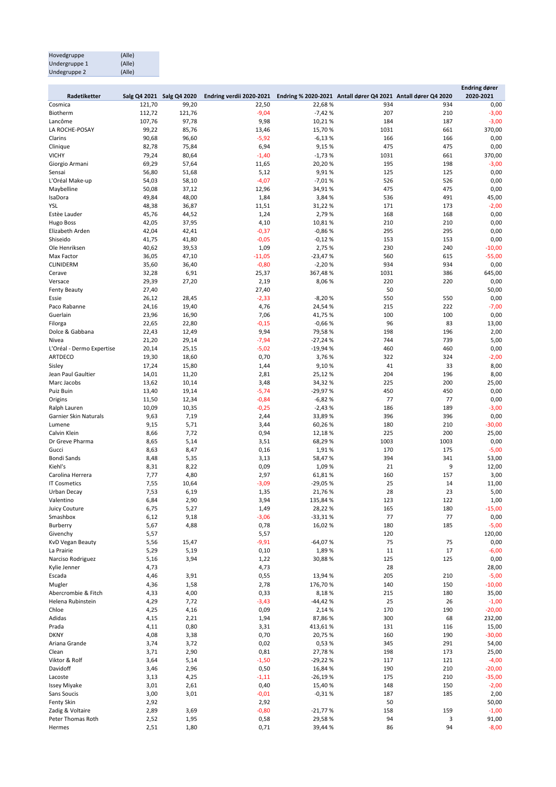| Hovedgruppe   | (Alle) |
|---------------|--------|
| Undergruppe 1 | (Alle) |
| Undegruppe 2  | (Alle) |

|                           |                |                           |                          |                    |                                                               |            | <b>Endring dører</b> |
|---------------------------|----------------|---------------------------|--------------------------|--------------------|---------------------------------------------------------------|------------|----------------------|
| Radetiketter              |                | Salg Q4 2021 Salg Q4 2020 | Endring verdii 2020-2021 |                    | Endring % 2020-2021 Antall dører Q4 2021 Antall dører Q4 2020 |            | 2020-2021            |
| Cosmica                   | 121,70         | 99,20                     | 22,50                    | 22,68%             | 934                                                           | 934        | 0,00                 |
| Biotherm                  | 112,72         | 121,76                    | $-9,04$                  | $-7,42%$           | 207                                                           | 210        | $-3,00$              |
| Lancôme                   | 107,76         | 97,78                     | 9,98                     | 10,21%             | 184                                                           | 187        | $-3,00$              |
| LA ROCHE-POSAY            | 99,22          | 85,76                     | 13,46                    | 15,70%             | 1031                                                          | 661        | 370,00               |
| Clarins                   | 90,68          | 96,60                     | $-5,92$                  | $-6,13%$           | 166                                                           | 166        | 0,00                 |
| Clinique<br><b>VICHY</b>  | 82,78          | 75,84                     | 6,94                     | 9,15 %             | 475<br>1031                                                   | 475<br>661 | 0,00                 |
|                           | 79,24<br>69,29 | 80,64<br>57,64            | $-1,40$                  | $-1,73%$<br>20,20% | 195                                                           | 198        | 370,00<br>$-3,00$    |
| Giorgio Armani<br>Sensai  | 56,80          | 51,68                     | 11,65                    | 9,91%              | 125                                                           | 125        | 0,00                 |
| L'Oréal Make-up           | 54,03          | 58,10                     | 5,12<br>$-4,07$          | $-7,01%$           | 526                                                           | 526        | 0,00                 |
| Maybelline                | 50,08          | 37,12                     | 12,96                    | 34,91%             | 475                                                           | 475        | 0,00                 |
| IsaDora                   | 49,84          | 48,00                     | 1,84                     | 3,84 %             | 536                                                           | 491        | 45,00                |
| YSL                       | 48,38          | 36,87                     | 11,51                    | 31,22%             | 171                                                           | 173        | $-2,00$              |
| Estèe Lauder              | 45,76          | 44,52                     | 1,24                     | 2,79%              | 168                                                           | 168        | 0,00                 |
| Hugo Boss                 | 42,05          | 37,95                     | 4,10                     | 10,81%             | 210                                                           | 210        | 0,00                 |
| Elizabeth Arden           | 42,04          | 42,41                     | $-0,37$                  | $-0,86%$           | 295                                                           | 295        | 0,00                 |
| Shiseido                  | 41,75          | 41,80                     | $-0,05$                  | $-0,12%$           | 153                                                           | 153        | 0,00                 |
| Ole Henriksen             | 40,62          | 39,53                     | 1,09                     | 2,75 %             | 230                                                           | 240        | $-10,00$             |
| Max Factor                | 36,05          | 47,10                     | $-11,05$                 | $-23,47%$          | 560                                                           | 615        | $-55,00$             |
| <b>CLINIDERM</b>          | 35,60          | 36,40                     | $-0,80$                  | $-2,20%$           | 934                                                           | 934        | 0,00                 |
| Cerave                    | 32,28          | 6,91                      | 25,37                    | 367,48%            | 1031                                                          | 386        | 645,00               |
| Versace                   | 29,39          | 27,20                     | 2,19                     | 8,06%              | 220                                                           | 220        | 0,00                 |
| <b>Fenty Beauty</b>       | 27,40          |                           | 27,40                    |                    | 50                                                            |            | 50,00                |
| Essie                     | 26,12          | 28,45                     | $-2,33$                  | $-8,20%$           | 550                                                           | 550        | 0,00                 |
| Paco Rabanne              | 24,16          | 19,40                     | 4,76                     | 24,54%             | 215                                                           | 222        | $-7,00$              |
| Guerlain                  | 23,96          | 16,90                     | 7,06                     | 41,75%             | 100                                                           | 100        | 0,00                 |
| Filorga                   | 22,65          | 22,80                     | $-0,15$                  | $-0,66%$           | 96                                                            | 83         | 13,00                |
| Dolce & Gabbana           | 22,43          | 12,49                     | 9,94                     | 79,58%             | 198                                                           | 196        | 2,00                 |
| Nivea                     | 21,20          | 29,14                     | $-7,94$                  | $-27,24%$          | 744                                                           | 739        | 5,00                 |
| L'Oréal - Dermo Expertise | 20,14          | 25,15                     | $-5,02$                  | $-19,94%$          | 460                                                           | 460        | 0,00                 |
| <b>ARTDECO</b>            | 19,30          | 18,60                     | 0,70                     | 3,76%              | 322                                                           | 324        | $-2,00$              |
| Sisley                    | 17,24          | 15,80                     | 1,44                     | 9,10%              | 41                                                            | 33         | 8,00                 |
| Jean Paul Gaultier        | 14,01          | 11,20                     | 2,81                     | 25,12%             | 204                                                           | 196        | 8,00                 |
| Marc Jacobs               | 13,62          | 10,14                     | 3,48                     | 34,32%             | 225                                                           | 200        | 25,00                |
| Puiz Buin                 | 13,40          | 19,14                     | $-5,74$                  | $-29,97%$          | 450                                                           | 450        | 0,00                 |
| Origins                   | 11,50          | 12,34                     | $-0,84$                  | $-6,82%$           | 77                                                            | 77         | 0,00                 |
| Ralph Lauren              | 10,09          | 10,35                     | $-0,25$                  | $-2,43%$           | 186                                                           | 189        | $-3,00$              |
| Garnier Skin Naturals     | 9,63           | 7,19                      | 2,44                     | 33,89%             | 396                                                           | 396        | 0,00                 |
| Lumene                    | 9,15           | 5,71                      | 3,44                     | 60,26%             | 180                                                           | 210        | $-30,00$             |
| Calvin Klein              | 8,66           | 7,72                      | 0,94                     | 12,18 %            | 225                                                           | 200        | 25,00                |
| Dr Greve Pharma           | 8,65           | 5,14                      | 3,51                     | 68,29%             | 1003                                                          | 1003       | 0,00                 |
| Gucci                     | 8,63           | 8,47                      | 0,16                     | 1,91%              | 170                                                           | 175        | $-5,00$              |
| <b>Bondi Sands</b>        | 8,48           | 5,35                      | 3,13                     | 58,47%             | 394                                                           | 341        | 53,00                |
| Kiehl's                   | 8,31           | 8,22                      | 0,09                     | 1,09 %             | 21                                                            | 9          | 12,00                |
| Carolina Herrera          | 7,77           | 4,80                      | 2,97                     | 61,81%             | 160                                                           | 157        | 3,00                 |
| <b>IT Cosmetics</b>       | 7,55           | 10,64                     | $-3,09$                  | $-29,05%$          | 25                                                            | 14         | 11,00                |
| Urban Decay               | 7,53           | 6,19                      | 1,35                     | 21,76%             | 28                                                            | 23         | 5,00                 |
| Valentino                 | 6,84           | 2,90                      | 3,94                     | 135,84 %           | 123                                                           | 122        | 1,00                 |
| Juicy Couture             | 6,75           | 5,27                      | 1,49                     | 28,22%             | 165                                                           | 180        | $-15,00$             |
| Smashbox                  | 6,12           | 9,18                      | $-3,06$                  | $-33,31%$          | 77                                                            | 77         | 0,00                 |
| Burberry                  | 5,67           | 4,88                      | 0,78                     | 16,02%             | 180                                                           | 185        | $-5,00$              |
| Givenchy                  | 5,57           |                           | 5,57                     |                    | 120                                                           |            | 120,00               |
| KvD Vegan Beauty          | 5,56           | 15,47                     | -9,91                    | $-64,07%$          | 75                                                            | 75         | 0,00                 |
| La Prairie                | 5,29           | 5,19                      | 0,10                     | 1,89%              | 11                                                            | 17         | $-6,00$              |
| Narciso Rodriguez         | 5,16           | 3,94                      | 1,22                     | 30,88%             | 125                                                           | 125        | 0,00                 |
| Kylie Jenner              | 4,73           |                           | 4,73                     |                    | 28                                                            |            | 28,00                |
| Escada                    | 4,46           | 3,91                      | 0,55                     | 13,94 %            | 205                                                           | 210        | $-5,00$              |
| Mugler                    | 4,36           | 1,58                      | 2,78                     | 176,70%            | 140                                                           | 150        | $-10,00$             |
| Abercrombie & Fitch       | 4,33           | 4,00                      | 0,33                     | 8,18%              | 215                                                           | 180        | 35,00                |
| Helena Rubinstein         | 4,29           | 7,72                      | $-3,43$                  | -44,42%            | 25                                                            | 26         | $-1,00$              |
| Chloe                     | 4,25           | 4,16                      | 0,09                     | 2,14 %             | 170                                                           | 190        | $-20,00$             |
| Adidas                    | 4,15           | 2,21                      | 1,94                     | 87,86%             | 300                                                           | 68         | 232,00               |
| Prada                     | 4,11           | 0,80                      | 3,31                     | 413,61%            | 131                                                           | 116        | 15,00                |
| <b>DKNY</b>               | 4,08           | 3,38                      | 0,70                     | 20,75 %            | 160                                                           | 190        | $-30,00$             |
| Ariana Grande             | 3,74           | 3,72                      | 0,02                     | 0,53%              | 345                                                           | 291        | 54,00                |
| Clean                     | 3,71           | 2,90                      | 0,81                     | 27,78%             | 198                                                           | 173        | 25,00                |
| Viktor & Rolf             | 3,64           | 5,14                      | $-1,50$                  | $-29,22%$          | 117                                                           | 121        | $-4,00$              |
| Davidoff                  | 3,46           | 2,96                      | 0,50                     | 16,84 %            | 190                                                           | 210        | $-20,00$             |
| Lacoste                   | 3,13           | 4,25                      | $-1,11$                  | $-26,19%$          | 175                                                           | 210        | $-35,00$             |
| <b>Issey Miyake</b>       | 3,01           | 2,61                      | 0,40                     | 15,40%             | 148                                                           | 150        | $-2,00$              |
| Sans Soucis               | 3,00           | 3,01                      | $-0,01$                  | $-0,31%$           | 187                                                           | 185        | 2,00                 |
| Fenty Skin                | 2,92           |                           | 2,92                     |                    | 50                                                            |            | 50,00                |
| Zadig & Voltaire          | 2,89           | 3,69                      | $-0,80$                  | $-21,77%$          | 158                                                           | 159        | $-1,00$              |
| Peter Thomas Roth         | 2,52           | 1,95                      | 0,58                     | 29,58%             | 94                                                            | 3          | 91,00                |
| Hermes                    | 2,51           | 1,80                      | 0,71                     | 39,44%             | 86                                                            | 94         | $-8,00$              |